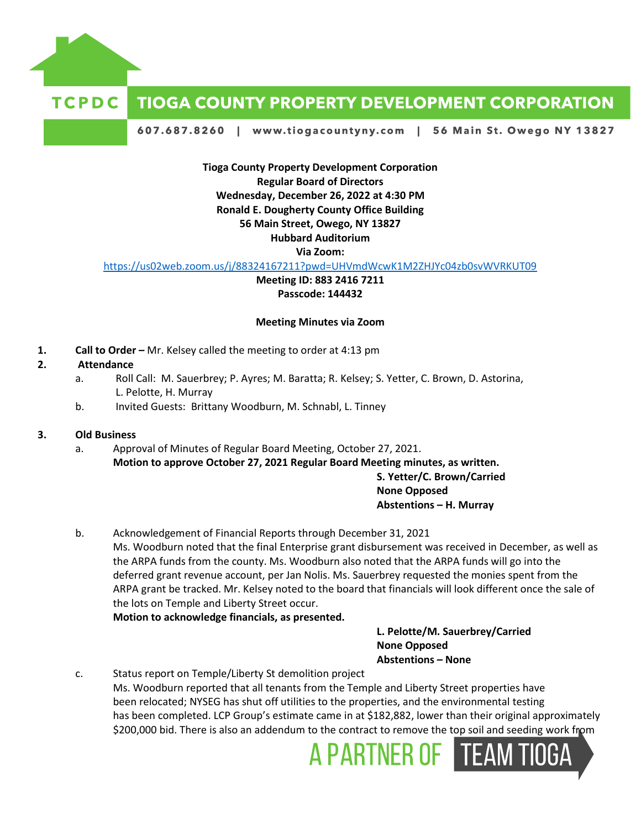

# **TIOGA COUNTY PROPERTY DEVELOPMENT CORPORATION**

607.687.8260 | www.tiogacountyny.com | 56 Main St. Owego NY 13827

**Tioga County Property Development Corporation Regular Board of Directors Wednesday, December 26, 2022 at 4:30 PM Ronald E. Dougherty County Office Building 56 Main Street, Owego, NY 13827 Hubbard Auditorium Via Zoom:**

<https://us02web.zoom.us/j/88324167211?pwd=UHVmdWcwK1M2ZHJYc04zb0svWVRKUT09>

**Meeting ID: 883 2416 7211 Passcode: 144432**

#### **Meeting Minutes via Zoom**

**1. Call to Order –** Mr. Kelsey called the meeting to order at 4:13 pm

## **2. Attendance**

- a. Roll Call: M. Sauerbrey; P. Ayres; M. Baratta; R. Kelsey; S. Yetter, C. Brown, D. Astorina, L. Pelotte, H. Murray
- b. Invited Guests: Brittany Woodburn, M. Schnabl, L. Tinney

## **3. Old Business**

a. Approval of Minutes of Regular Board Meeting, October 27, 2021. **Motion to approve October 27, 2021 Regular Board Meeting minutes, as written. S. Yetter/C. Brown/Carried**

#### **None Opposed Abstentions – H. Murray**

b. Acknowledgement of Financial Reports through December 31, 2021 Ms. Woodburn noted that the final Enterprise grant disbursement was received in December, as well as the ARPA funds from the county. Ms. Woodburn also noted that the ARPA funds will go into the deferred grant revenue account, per Jan Nolis. Ms. Sauerbrey requested the monies spent from the ARPA grant be tracked. Mr. Kelsey noted to the board that financials will look different once the sale of the lots on Temple and Liberty Street occur.

**Motion to acknowledge financials, as presented.** 

**L. Pelotte/M. Sauerbrey/Carried None Opposed Abstentions – None**

c. Status report on Temple/Liberty St demolition project Ms. Woodburn reported that all tenants from the Temple and Liberty Street properties have been relocated; NYSEG has shut off utilities to the properties, and the environmental testing has been completed. LCP Group's estimate came in at \$182,882, lower than their original approximately \$200,000 bid. There is also an addendum to the contract to remove the top soil and seeding work from

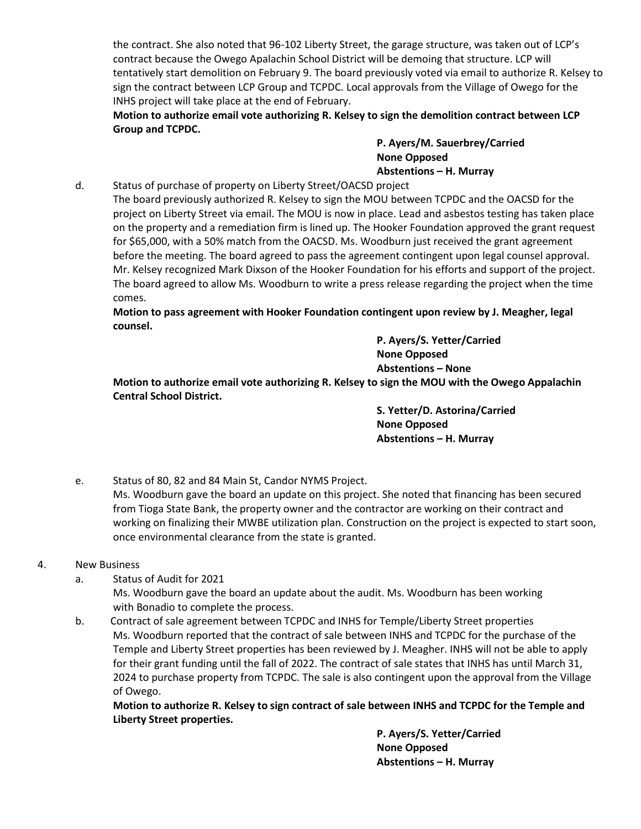the contract. She also noted that 96-102 Liberty Street, the garage structure, was taken out of LCP's contract because the Owego Apalachin School District will be demoing that structure. LCP will tentatively start demolition on February 9. The board previously voted via email to authorize R. Kelsey to sign the contract between LCP Group and TCPDC. Local approvals from the Village of Owego for the INHS project will take place at the end of February.

**Motion to authorize email vote authorizing R. Kelsey to sign the demolition contract between LCP Group and TCPDC.** 

> **P. Ayers/M. Sauerbrey/Carried None Opposed Abstentions – H. Murray**

d. Status of purchase of property on Liberty Street/OACSD project

The board previously authorized R. Kelsey to sign the MOU between TCPDC and the OACSD for the project on Liberty Street via email. The MOU is now in place. Lead and asbestos testing has taken place on the property and a remediation firm is lined up. The Hooker Foundation approved the grant request for \$65,000, with a 50% match from the OACSD. Ms. Woodburn just received the grant agreement before the meeting. The board agreed to pass the agreement contingent upon legal counsel approval. Mr. Kelsey recognized Mark Dixson of the Hooker Foundation for his efforts and support of the project. The board agreed to allow Ms. Woodburn to write a press release regarding the project when the time comes.

**Motion to pass agreement with Hooker Foundation contingent upon review by J. Meagher, legal counsel.**

> **P. Ayers/S. Yetter/Carried None Opposed Abstentions – None**

**Motion to authorize email vote authorizing R. Kelsey to sign the MOU with the Owego Appalachin Central School District.** 

> **S. Yetter/D. Astorina/Carried None Opposed Abstentions – H. Murray**

e. Status of 80, 82 and 84 Main St, Candor NYMS Project.

Ms. Woodburn gave the board an update on this project. She noted that financing has been secured from Tioga State Bank, the property owner and the contractor are working on their contract and working on finalizing their MWBE utilization plan. Construction on the project is expected to start soon, once environmental clearance from the state is granted.

- 4. New Business
	- a. Status of Audit for 2021

Ms. Woodburn gave the board an update about the audit. Ms. Woodburn has been working with Bonadio to complete the process.

b. Contract of sale agreement between TCPDC and INHS for Temple/Liberty Street properties Ms. Woodburn reported that the contract of sale between INHS and TCPDC for the purchase of the Temple and Liberty Street properties has been reviewed by J. Meagher. INHS will not be able to apply for their grant funding until the fall of 2022. The contract of sale states that INHS has until March 31, 2024 to purchase property from TCPDC. The sale is also contingent upon the approval from the Village of Owego.

**Motion to authorize R. Kelsey to sign contract of sale between INHS and TCPDC for the Temple and Liberty Street properties.** 

> **P. Ayers/S. Yetter/Carried None Opposed Abstentions – H. Murray**